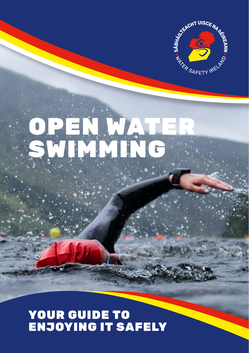

# OPEN WATER SWIMMING

### YOUR GUIDE TO ENJOYING IT SAFELY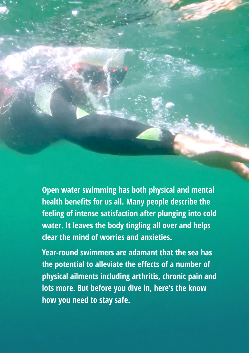**Open water swimming has both physical and mental health benefits for us all. Many people describe the feeling of intense satisfaction after plunging into cold water. It leaves the body tingling all over and helps clear the mind of worries and anxieties.** 

**Year-round swimmers are adamant that the sea has the potential to alleviate the effects of a number of physical ailments including arthritis, chronic pain and lots more. But before you dive in, here's the know how you need to stay safe.**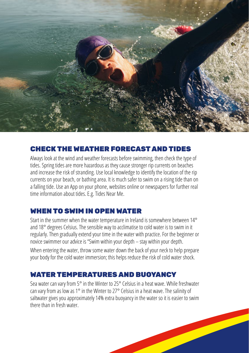

#### CHECK THE WEATHER FORECAST AND TIDES

Always look at the wind and weather forecasts before swimming, then check the type of tides. Spring tides are more hazardous as they cause stronger rip currents on beaches and increase the risk of stranding. Use local knowledge to identify the location of the rip currents on your beach, or bathing area. It is much safer to swim on a rising tide than on a falling tide. Use an App on your phone, websites online or newspapers for further real time information about tides. E.g. Tides Near Me.

#### WHEN TO SWIM IN OPEN WATER

Start in the summer when the water temperature in Ireland is somewhere between 14° and 18° degrees Celsius. The sensible way to acclimatise to cold water is to swim in it regularly. Then gradually extend your time in the water with practice. For the beginner or novice swimmer our advice is "Swim within your depth – stay within your depth.

When entering the water, throw some water down the back of your neck to help prepare your body for the cold water immersion; this helps reduce the risk of cold water shock.

#### WATER TEMPERATURES AND BUOYANCY

Sea water can vary from 5° in the Winter to 25° Celsius in a heat wave. While freshwater can vary from as low as 1° in the Winter to 27° Celsius in a heat wave. The salinity of saltwater gives you approximately 14% extra buoyancy in the water so it is easier to swim there than in fresh water.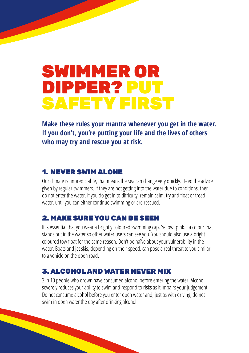# **SWIMMER OR** DIPPER? PUT SAFETY FIRST

**Make these rules your mantra whenever you get in the water. If you don't, you're putting your life and the lives of others who may try and rescue you at risk.**

#### 1. NEVER SWIM ALONE

Our climate is unpredictable, that means the sea can change very quickly. Heed the advice given by regular swimmers. If they are not getting into the water due to conditions, then do not enter the water. If you do get in to difficulty, remain calm, try and float or tread water, until you can either continue swimming or are rescued.

#### 2. MAKE SURE YOU CAN BE SEEN

It is essential that you wear a brightly coloured swimming cap. Yellow, pink… a colour that stands out in the water so other water users can see you. You should also use a bright coloured tow float for the same reason. Don't be naïve about your vulnerability in the water. Boats and jet skis, depending on their speed, can pose a real threat to you similar to a vehicle on the open road.

#### 3. ALCOHOL AND WATER NEVER MIX

3 in 10 people who drown have consumed alcohol before entering the water. Alcohol severely reduces your ability to swim and respond to risks as it impairs your judgement. Do not consume alcohol before you enter open water and, just as with driving, do not swim in open water the day after drinking alcohol.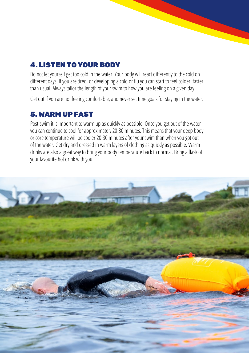#### 4.LISTEN TO YOUR BODY

Do not let yourself get too cold in the water. Your body will react differently to the cold on different days. If you are tired, or developing a cold or flu you can start to feel colder, faster than usual. Always tailor the length of your swim to how you are feeling on a given day.

Get out if you are not feeling comfortable, and never set time goals for staying in the water.

#### 5. WARM UP FAST

Post-swim it is important to warm up as quickly as possible. Once you get out of the water you can continue to cool for approximately 20-30 minutes. This means that your deep body or core temperature will be cooler 20-30 minutes after your swim than when you got out of the water. Get dry and dressed in warm layers of clothing as quickly as possible. Warm drinks are also a great way to bring your body temperature back to normal. Bring a flask of your favourite hot drink with you.

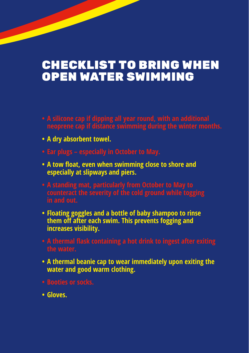### CHECKLIST TO BRING WHEN OPEN WATER SWIMMING

- **• A silicone cap if dipping all year round, with an additional**
- **• A dry absorbent towel.**
- **• Ear plugs especially in October to May.**
- **• A tow float, even when swimming close to shore and especially at slipways and piers.**
- **counteract the severity of the cold ground while togging in and out.**
- **• Floating goggles and a bottle of baby shampoo to rinse them off after each swim. This prevents fogging and increases visibility.**
- **the water.**
- **• A thermal beanie cap to wear immediately upon exiting the water and good warm clothing.**
- **• Booties or socks.**
- **• Gloves.**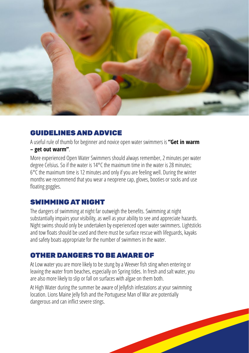

#### GUIDELINES AND ADVICE

A useful rule of thumb for beginner and novice open water swimmers is **"Get in warm – get out warm"**.

More experienced Open Water Swimmers should always remember, 2 minutes per water degree Celsius. So if the water is 14°C the maximum time in the water is 28 minutes; 6°C the maximum time is 12 minutes and only if you are feeling well. During the winter months we recommend that you wear a neoprene cap, gloves, booties or socks and use floating goggles.

#### SWIMMING AT NIGHT

The dangers of swimming at night far outweigh the benefits. Swimming at night substantially impairs your visibility, as well as your ability to see and appreciate hazards. Night swims should only be undertaken by experienced open water swimmers. Lightsticks and tow floats should be used and there must be surface rescue with lifeguards, kayaks and safety boats appropriate for the number of swimmers in the water.

#### OTHER DANGERS TO BE AWARE OF

At Low water you are more likely to be stung by a Weever fish sting when entering or leaving the water from beaches, especially on Spring tides. In fresh and salt water, you are also more likely to slip or fall on surfaces with algae on them both.

At High Water during the summer be aware of Jellyfish infestations at your swimming location. Lions Maine Jelly fish and the Portuguese Man of War are potentially dangerous and can inflict severe stings.